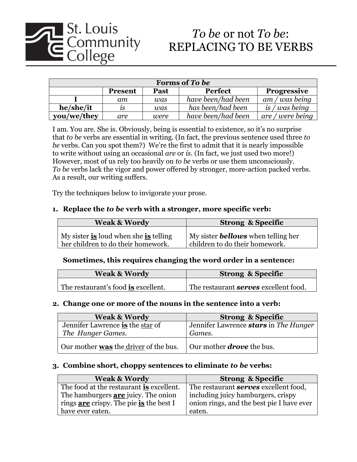

# *To be* or not *To be*:

| <b>Forms of To be</b> |                |      |                    |                    |
|-----------------------|----------------|------|--------------------|--------------------|
|                       | <b>Present</b> | Past | <b>Perfect</b>     | <b>Progressive</b> |
|                       | am             | was  | have been/had been | $am/was$ being     |
| he/she/it             | 1S             | was  | has been/had been  | is $/was$ being    |
| you/we/they           | are            | were | have been/had been | are / were being   |

I am. You are. She is. Obviously, being is essential to existence, so it's no surprise that *to be* verbs are essential in writing. (In fact, the previous sentence used three *to be* verbs. Can you spot them?) We're the first to admit that it is nearly impossible to write without using an occasional *are* or *is*. (In fact, we just used two more!) However, most of us rely too heavily on *to be* verbs or use them unconsciously. *To be* verbs lack the vigor and power offered by stronger, more-action packed verbs. As a result, our writing suffers.

Try the techniques below to invigorate your prose.

### **1. Replace the** *to be* **verb with a stronger, more specific verb:**

| <b>Weak &amp; Wordy</b>                                                     | <b>Strong &amp; Specific</b>                                                |
|-----------------------------------------------------------------------------|-----------------------------------------------------------------------------|
| My sister is loud when she is telling<br>her children to do their homework. | My sister <b>bellows</b> when telling her<br>children to do their homework. |

# **Sometimes, this requires changing the word order in a sentence:**

| <b>Weak &amp; Wordy</b>             | <b>Strong &amp; Specific</b>                 |
|-------------------------------------|----------------------------------------------|
| The restaurant's food is excellent. | The restaurant <b>serves</b> excellent food. |

### **2. Change one or more of the nouns in the sentence into a verb:**

| <b>Weak &amp; Wordy</b>               | <b>Strong &amp; Specific</b>                 |
|---------------------------------------|----------------------------------------------|
| Jennifer Lawrence is the star of      | Jennifer Lawrence <b>stars</b> in The Hunger |
| The Hunger Games.                     | Games.                                       |
| Our mother was the driver of the bus. | Our mother <b>drove</b> the bus.             |

### **3. Combine short, choppy sentences to eliminate** *to be* **verbs:**

| <b>Weak &amp; Wordy</b>                        | <b>Strong &amp; Specific</b>                 |
|------------------------------------------------|----------------------------------------------|
| The food at the restaurant is excellent.       | The restaurant <b>serves</b> excellent food, |
| The hamburgers <b>are</b> juicy. The onion     | including juicy hamburgers, crispy           |
| rings <u>are</u> crispy. The pie is the best I | onion rings, and the best pie I have ever    |
| have ever eaten.                               | eaten.                                       |